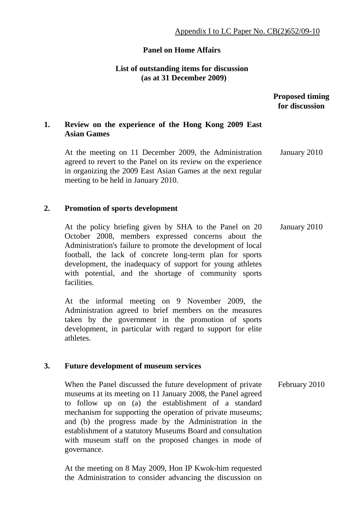## **Panel on Home Affairs**

## **List of outstanding items for discussion (as at 31 December 2009)**

## **Proposed timing for discussion**

# **1. Review on the experience of the Hong Kong 2009 East Asian Games**

At the meeting on 11 December 2009, the Administration agreed to revert to the Panel on its review on the experience in organizing the 2009 East Asian Games at the next regular meeting to be held in January 2010. January 2010

#### **2. Promotion of sports development**

At the policy briefing given by SHA to the Panel on 20 October 2008, members expressed concerns about the Administration's failure to promote the development of local football, the lack of concrete long-term plan for sports development, the inadequacy of support for young athletes with potential, and the shortage of community sports facilities. January 2010

At the informal meeting on 9 November 2009, the Administration agreed to brief members on the measures taken by the government in the promotion of sports development, in particular with regard to support for elite athletes.

#### **3. Future development of museum services**

When the Panel discussed the future development of private museums at its meeting on 11 January 2008, the Panel agreed to follow up on (a) the establishment of a standard mechanism for supporting the operation of private museums; and (b) the progress made by the Administration in the establishment of a statutory Museums Board and consultation with museum staff on the proposed changes in mode of governance. February 2010

At the meeting on 8 May 2009, Hon IP Kwok-him requested the Administration to consider advancing the discussion on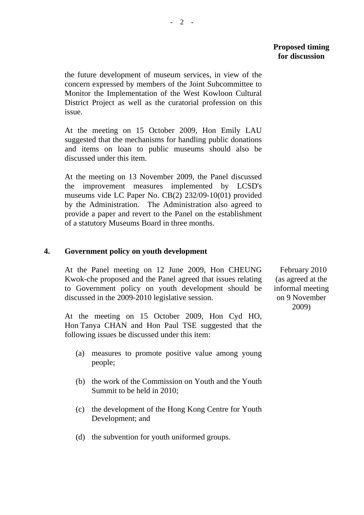#### **Proposed timing for discussion**

the future development of museum services, in view of the concern expressed by members of the Joint Subcommittee to Monitor the Implementation of the West Kowloon Cultural District Project as well as the curatorial profession on this issue.

At the meeting on 15 October 2009, Hon Emily LAU suggested that the mechanisms for handling public donations and items on loan to public museums should also be discussed under this item.

At the meeting on 13 November 2009, the Panel discussed the improvement measures implemented by LCSD's museums vide LC Paper No. CB(2) 232/09-10(01) provided by the Administration. The Administration also agreed to provide a paper and revert to the Panel on the establishment of a statutory Museums Board in three months.

## **4. Government policy on youth development**

At the Panel meeting on 12 June 2009, Hon CHEUNG Kwok-che proposed and the Panel agreed that issues relating to Government policy on youth development should be discussed in the 2009-2010 legislative session.

At the meeting on 15 October 2009, Hon Cyd HO, Hon Tanya CHAN and Hon Paul TSE suggested that the following issues be discussed under this item:

- (a) measures to promote positive value among young people;
- (b) the work of the Commission on Youth and the Youth Summit to be held in 2010;
- (c) the development of the Hong Kong Centre for Youth Development; and
- (d) the subvention for youth uniformed groups.

 February 2010 (as agreed at the informal meeting on 9 November 2009)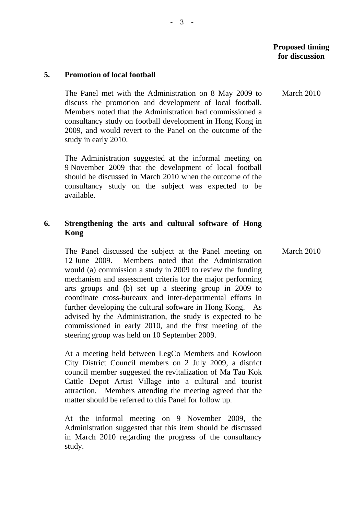March 2010

#### **5. Promotion of local football**

The Panel met with the Administration on 8 May 2009 to discuss the promotion and development of local football. Members noted that the Administration had commissioned a consultancy study on football development in Hong Kong in 2009, and would revert to the Panel on the outcome of the study in early 2010.

The Administration suggested at the informal meeting on 9 November 2009 that the development of local football should be discussed in March 2010 when the outcome of the consultancy study on the subject was expected to be available.

### **6. Strengthening the arts and cultural software of Hong Kong**

The Panel discussed the subject at the Panel meeting on 12 June 2009. Members noted that the Administration would (a) commission a study in 2009 to review the funding mechanism and assessment criteria for the major performing arts groups and (b) set up a steering group in 2009 to coordinate cross-bureaux and inter-departmental efforts in further developing the cultural software in Hong Kong. As advised by the Administration, the study is expected to be commissioned in early 2010, and the first meeting of the steering group was held on 10 September 2009. March 2010

At a meeting held between LegCo Members and Kowloon City District Council members on 2 July 2009, a district council member suggested the revitalization of Ma Tau Kok Cattle Depot Artist Village into a cultural and tourist attraction. Members attending the meeting agreed that the matter should be referred to this Panel for follow up.

At the informal meeting on 9 November 2009, the Administration suggested that this item should be discussed in March 2010 regarding the progress of the consultancy study.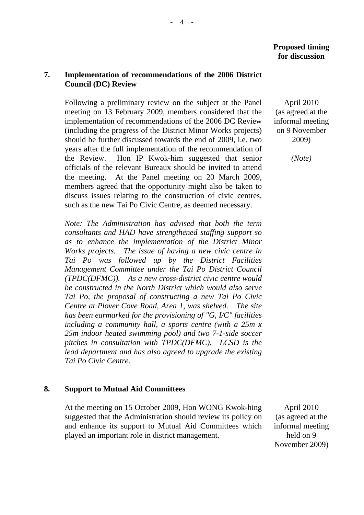## **7. Implementation of recommendations of the 2006 District Council (DC) Review**

Following a preliminary review on the subject at the Panel meeting on 13 February 2009, members considered that the implementation of recommendations of the 2006 DC Review (including the progress of the District Minor Works projects) should be further discussed towards the end of 2009, i.e. two years after the full implementation of the recommendation of the Review. Hon IP Kwok-him suggested that senior officials of the relevant Bureaux should be invited to attend the meeting. At the Panel meeting on 20 March 2009, members agreed that the opportunity might also be taken to discuss issues relating to the construction of civic centres, such as the new Tai Po Civic Centre, as deemed necessary.

*Note: The Administration has advised that both the term consultants and HAD have strengthened staffing support so as to enhance the implementation of the District Minor Works projects. The issue of having a new civic centre in Tai Po was followed up by the District Facilities Management Committee under the Tai Po District Council (TPDC(DFMC)). As a new cross-district civic centre would be constructed in the North District which would also serve Tai Po, the proposal of constructing a new Tai Po Civic Centre at Plover Cove Road, Area 1, was shelved. The site has been earmarked for the provisioning of "G, I/C" facilities including a community hall, a sports centre (with a 25m x 25m indoor heated swimming pool) and two 7-1-side soccer pitches in consultation with TPDC(DFMC). LCSD is the lead department and has also agreed to upgrade the existing Tai Po Civic Centre.* 

## **8. Support to Mutual Aid Committees**

 At the meeting on 15 October 2009, Hon WONG Kwok-hing suggested that the Administration should review its policy on and enhance its support to Mutual Aid Committees which played an important role in district management.

April 2010 (as agreed at the informal meeting on 9 November 2009)

*(Note)* 

 April 2010 (as agreed at the informal meeting held on 9 November 2009)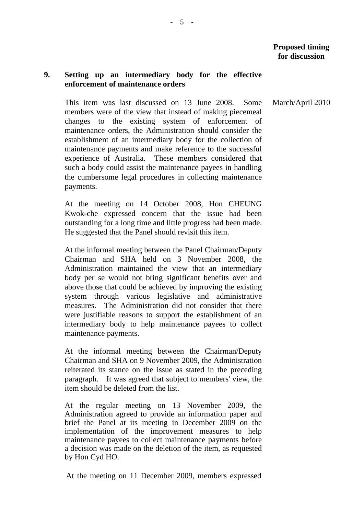March/April 2010

## **9. Setting up an intermediary body for the effective enforcement of maintenance orders**

This item was last discussed on 13 June 2008. Some members were of the view that instead of making piecemeal changes to the existing system of enforcement of maintenance orders, the Administration should consider the establishment of an intermediary body for the collection of maintenance payments and make reference to the successful experience of Australia. These members considered that such a body could assist the maintenance payees in handling the cumbersome legal procedures in collecting maintenance payments.

At the meeting on 14 October 2008, Hon CHEUNG Kwok-che expressed concern that the issue had been outstanding for a long time and little progress had been made. He suggested that the Panel should revisit this item.

At the informal meeting between the Panel Chairman/Deputy Chairman and SHA held on 3 November 2008, the Administration maintained the view that an intermediary body per se would not bring significant benefits over and above those that could be achieved by improving the existing system through various legislative and administrative measures. The Administration did not consider that there were justifiable reasons to support the establishment of an intermediary body to help maintenance payees to collect maintenance payments.

At the informal meeting between the Chairman/Deputy Chairman and SHA on 9 November 2009, the Administration reiterated its stance on the issue as stated in the preceding paragraph. It was agreed that subject to members' view, the item should be deleted from the list.

At the regular meeting on 13 November 2009, the Administration agreed to provide an information paper and brief the Panel at its meeting in December 2009 on the implementation of the improvement measures to help maintenance payees to collect maintenance payments before a decision was made on the deletion of the item, as requested by Hon Cyd HO.

At the meeting on 11 December 2009, members expressed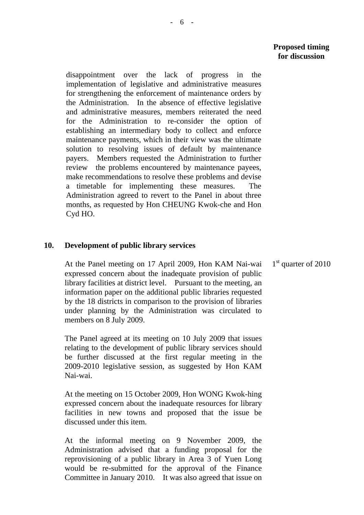disappointment over the lack of progress in the implementation of legislative and administrative measures for strengthening the enforcement of maintenance orders by the Administration. In the absence of effective legislative and administrative measures, members reiterated the need for the Administration to re-consider the option of establishing an intermediary body to collect and enforce maintenance payments, which in their view was the ultimate solution to resolving issues of default by maintenance payers. Members requested the Administration to further review the problems encountered by maintenance payees, make recommendations to resolve these problems and devise a timetable for implementing these measures. The Administration agreed to revert to the Panel in about three months, as requested by Hon CHEUNG Kwok-che and Hon Cyd HO.

#### **10. Development of public library services**

At the Panel meeting on 17 April 2009, Hon KAM Nai-wai expressed concern about the inadequate provision of public library facilities at district level. Pursuant to the meeting, an information paper on the additional public libraries requested by the 18 districts in comparison to the provision of libraries under planning by the Administration was circulated to members on 8 July 2009.

The Panel agreed at its meeting on 10 July 2009 that issues relating to the development of public library services should be further discussed at the first regular meeting in the 2009-2010 legislative session, as suggested by Hon KAM Nai-wai.

At the meeting on 15 October 2009, Hon WONG Kwok-hing expressed concern about the inadequate resources for library facilities in new towns and proposed that the issue be discussed under this item.

At the informal meeting on 9 November 2009, the Administration advised that a funding proposal for the reprovisioning of a public library in Area 3 of Yuen Long would be re-submitted for the approval of the Finance Committee in January 2010. It was also agreed that issue on

1<sup>st</sup> quarter of 2010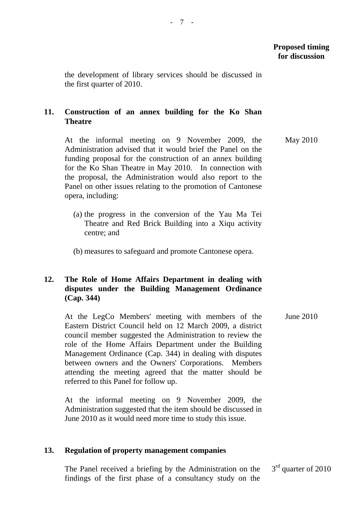the development of library services should be discussed in the first quarter of 2010.

# **11. Construction of an annex building for the Ko Shan Theatre**

At the informal meeting on 9 November 2009, the Administration advised that it would brief the Panel on the funding proposal for the construction of an annex building for the Ko Shan Theatre in May 2010. In connection with the proposal, the Administration would also report to the Panel on other issues relating to the promotion of Cantonese opera, including: May 2010

- (a) the progress in the conversion of the Yau Ma Tei Theatre and Red Brick Building into a Xiqu activity centre; and
- (b) measures to safeguard and promote Cantonese opera.

## **12. The Role of Home Affairs Department in dealing with disputes under the Building Management Ordinance (Cap. 344)**

At the LegCo Members' meeting with members of the Eastern District Council held on 12 March 2009, a district council member suggested the Administration to review the role of the Home Affairs Department under the Building Management Ordinance (Cap. 344) in dealing with disputes between owners and the Owners' Corporations. Members attending the meeting agreed that the matter should be referred to this Panel for follow up. June 2010

At the informal meeting on 9 November 2009, the Administration suggested that the item should be discussed in June 2010 as it would need more time to study this issue.

#### **13. Regulation of property management companies**

The Panel received a briefing by the Administration on the findings of the first phase of a consultancy study on the 3<sup>rd</sup> quarter of 2010